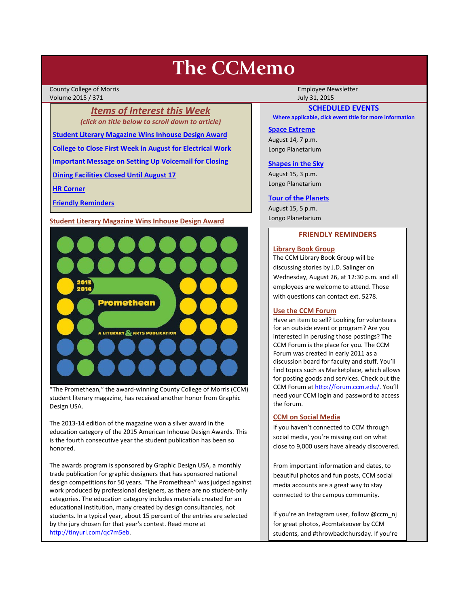# **The CCMemo**

County College of Morris **Employee Newsletter** Employee Newsletter Employee Newsletter Volume 2015 / 371 **July 31, 2015** 

*Items of Interest this Week (click on title below to scroll down to article)*

**[Student Literary Magazine Wins Inhouse Design Award](#page-0-0)**

**[College to Close First Week in August for Electrical Work](#page-1-0)**

**[Important Message on Setting Up Voicemail for Closing](#page-1-1)**

**[Dining Facilities Closed Until August 17](#page-2-0)**

**[HR Corner](#page-1-2)**

**[Friendly Reminders](#page-0-1)**

<span id="page-0-0"></span>**Student Literary Magazine Wins Inhouse Design Award**



"The Promethean," the award-winning County College of Morris (CCM) student literary magazine, has received another honor from Graphic Design USA.

The 2013-14 edition of the magazine won a silver award in the education category of the 2015 American Inhouse Design Awards. This is the fourth consecutive year the student publication has been so honored.

The awards program is sponsored by Graphic Design USA, a monthly trade publication for graphic designers that has sponsored national design competitions for 50 years. "The Promethean" was judged against work produced by professional designers, as there are no student-only categories. The education category includes materials created for an educational institution, many created by design consultancies, not students. In a typical year, about 15 percent of the entries are selected by the jury chosen for that year's contest. Read more at [http://tinyurl.com/qc7m5eb.](http://tinyurl.com/qc7m5eb)

# **SCHEDULED EVENTS**

**Where applicable, click event title for more information**

#### **[Space Extreme](http://www.ccm.edu/newsEvents/eventDetails.aspx?Channel=/Channels/Sitewide&WorkflowItemID=1874a4b0-0bcb-4ed1-a29e-7b4f8d25e45d)**

August 14, 7 p.m. Longo Planetarium

#### **[Shapes in the Sky](http://www.ccm.edu/newsEvents/eventDetails.aspx?Channel=/Channels/Sitewide&WorkflowItemID=1922c928-86d3-4e75-b6a2-fd618033989c)**

August 15, 3 p.m. Longo Planetarium

#### **[Tour of the Planets](http://www.ccm.edu/newsEvents/eventDetails.aspx?Channel=/Channels/Sitewide&WorkflowItemID=5834aa20-68ba-4fa2-a3ac-75b2311ba441)**

August 15, 5 p.m. Longo Planetarium

#### **FRIENDLY REMINDERS**

# <span id="page-0-1"></span>**Library Book Group**

The CCM Library Book Group will be discussing stories by J.D. Salinger on Wednesday, August 26, at 12:30 p.m. and all employees are welcome to attend. Those with questions can contact ext. 5278.

#### **Use the CCM Forum**

Have an item to sell? Looking for volunteers for an outside event or program? Are you interested in perusing those postings? The CCM Forum is the place for you. The CCM Forum was created in early 2011 as a discussion board for faculty and stuff. You'll find topics such as Marketplace, which allows for posting goods and services. Check out the CCM Forum a[t http://forum.ccm.edu/.](http://forum.ccm.edu/) You'll need your CCM login and password to access the forum.

#### **CCM on Social Media**

If you haven't connected to CCM through social media, you're missing out on what close to 9,000 users have already discovered.

From important information and dates, to beautiful photos and fun posts, CCM social media accounts are a great way to stay connected to the campus community.

If you're an Instagram user, follow @ccm\_nj for great photos, #ccmtakeover by CCM students, and #throwbackthursday. If you're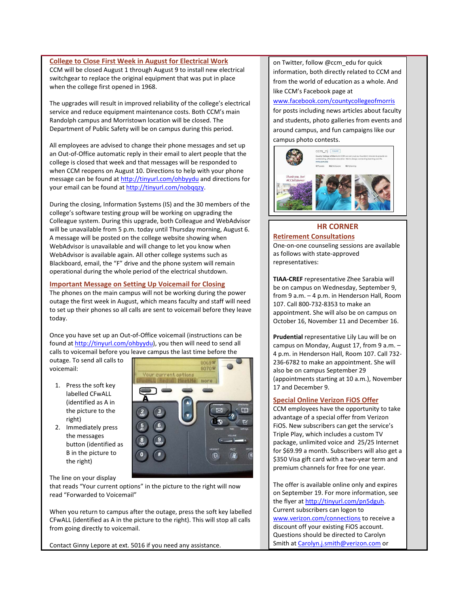#### <span id="page-1-0"></span>**College to Close First Week in August for Electrical Work**

CCM will be closed August 1 through August 9 to install new electrical switchgear to replace the original equipment that was put in place when the college first opened in 1968.

The upgrades will result in improved reliability of the college's electrical service and reduce equipment maintenance costs. Both CCM's main Randolph campus and Morristown location will be closed. The Department of Public Safety will be on campus during this period.

All employees are advised to change their phone messages and set up an Out-of-Office automatic reply in their email to alert people that the college is closed that week and that messages will be responded to when CCM reopens on August 10. Directions to help with your phone message can be found at<http://tinyurl.com/ohbyydu> and directions for your email can be found at [http://tinyurl.com/nobqqzy.](http://tinyurl.com/nobqqzy)

During the closing, Information Systems (IS) and the 30 members of the college's software testing group will be working on upgrading the Colleague system. During this upgrade, both Colleague and WebAdvisor will be unavailable from 5 p.m. today until Thursday morning, August 6. A message will be posted on the college website showing when WebAdvisor is unavailable and will change to let you know when WebAdvisor is available again. All other college systems such as Blackboard, email, the "F" drive and the phone system will remain operational during the whole period of the electrical shutdown.

#### <span id="page-1-1"></span>**Important Message on Setting Up Voicemail for Closing**

The phones on the main campus will not be working during the power outage the first week in August, which means faculty and staff will need to set up their phones so all calls are sent to voicemail before they leave today.

Once you have set up an Out-of-Office voicemail (instructions can be found at [http://tinyurl.com/ohbyydu\)](http://tinyurl.com/ohbyydu), you then will need to send all calls to voicemail before you leave campus the last time before the

outage. To send all calls to voicemail:

- 1. Press the soft key labelled CFwALL (identified as A in the picture to the right)
- 2. Immediately press the messages button (identified as B in the picture to the right)



The line on your display

that reads "Your current options" in the picture to the right will now read "Forwarded to Voicemail"

When you return to campus after the outage, press the soft key labelled CFwALL (identified as A in the picture to the right). This will stop all calls from going directly to voicemail.

Contact Ginny Lepore at ext. 5016 if you need any assistance.

on Twitter, follow @ccm\_edu for quick information, both directly related to CCM and from the world of education as a whole. And like CCM's Facebook page at

[www.facebook.com/countycollegeofmorris](http://www.facebook.com/countycollegeofmorris)

for posts including news articles about faculty and students, photo galleries from events and around campus, and fun campaigns like our campus photo contests.



# <span id="page-1-2"></span>**HR CORNER Retirement Consultations**

One-on-one counseling sessions are available as follows with state-approved representatives:

**TIAA-CREF** representative Zhee Sarabia will be on campus on Wednesday, September 9, from 9 a.m. – 4 p.m. in Henderson Hall, Room 107. Call 800-732-8353 to make an appointment. She will also be on campus on October 16, November 11 and December 16.

**Prudential** representative Lily Lau will be on campus on Monday, August 17, from 9 a.m. – 4 p.m. in Henderson Hall, Room 107. Call 732- 236-6782 to make an appointment. She will also be on campus September 29 (appointments starting at 10 a.m.), November 17 and December 9.

# **Special Online Verizon FiOS Offer**

CCM employees have the opportunity to take advantage of a special offer from Verizon FiOS. New subscribers can get the service's Triple Play, which includes a custom TV package, unlimited voice and 25/25 Internet for \$69.99 a month. Subscribers will also get a \$350 Visa gift card with a two-year term and premium channels for free for one year.

The offer is available online only and expires on September 19. For more information, see the flyer at http://tinyurl.com/pn5dguh. Current subscribers can logon to [www.verizon.com/connections](http://www.verizon.com/connections) to receive a discount off your existing FiOS account. Questions should be directed to Carolyn Smith a[t Carolyn.j.smith@verizon.com](mailto:Carolyn.j.smith@verizon.com) or